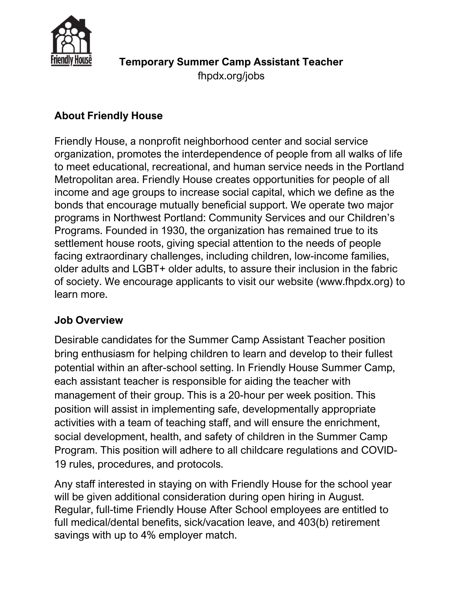

## About Friendly House

Friendly House, a nonprofit neighborhood center and social service organization, promotes the interdependence of people from all walks of life to meet educational, recreational, and human service needs in the Portland Metropolitan area. Friendly House creates opportunities for people of all income and age groups to increase social capital, which we define as the bonds that encourage mutually beneficial support. We operate two major programs in Northwest Portland: Community Services and our Children's Programs. Founded in 1930, the organization has remained true to its settlement house roots, giving special attention to the needs of people facing extraordinary challenges, including children, low-income families, older adults and LGBT+ older adults, to assure their inclusion in the fabric of society. We encourage applicants to visit our website (www.fhpdx.org) to learn more.

### Job Overview

Desirable candidates for the Summer Camp Assistant Teacher position bring enthusiasm for helping children to learn and develop to their fullest potential within an after-school setting. In Friendly House Summer Camp, each assistant teacher is responsible for aiding the teacher with management of their group. This is a 20-hour per week position. This position will assist in implementing safe, developmentally appropriate activities with a team of teaching staff, and will ensure the enrichment, social development, health, and safety of children in the Summer Camp Program. This position will adhere to all childcare regulations and COVID-19 rules, procedures, and protocols.

Any staff interested in staying on with Friendly House for the school year will be given additional consideration during open hiring in August. Regular, full-time Friendly House After School employees are entitled to full medical/dental benefits, sick/vacation leave, and 403(b) retirement savings with up to 4% employer match.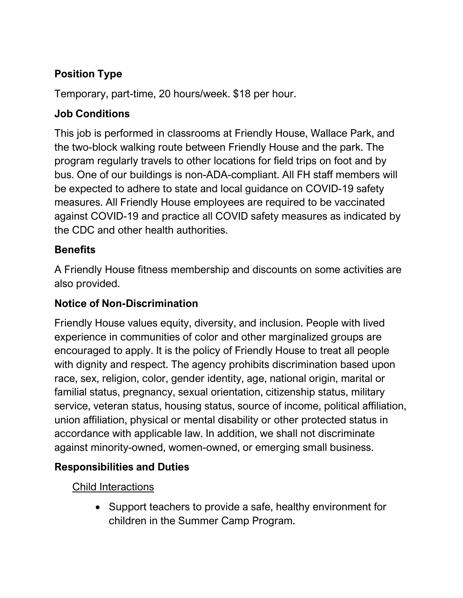# Position Type

Temporary, part-time, 20 hours/week. \$18 per hour.

## Job Conditions

This job is performed in classrooms at Friendly House, Wallace Park, and the two-block walking route between Friendly House and the park. The program regularly travels to other locations for field trips on foot and by bus. One of our buildings is non-ADA-compliant. All FH staff members will be expected to adhere to state and local guidance on COVID-19 safety measures. All Friendly House employees are required to be vaccinated against COVID-19 and practice all COVID safety measures as indicated by the CDC and other health authorities.

## **Benefits**

A Friendly House fitness membership and discounts on some activities are also provided.

### Notice of Non-Discrimination

Friendly House values equity, diversity, and inclusion. People with lived experience in communities of color and other marginalized groups are encouraged to apply. It is the policy of Friendly House to treat all people with dignity and respect. The agency prohibits discrimination based upon race, sex, religion, color, gender identity, age, national origin, marital or familial status, pregnancy, sexual orientation, citizenship status, military service, veteran status, housing status, source of income, political affiliation, union affiliation, physical or mental disability or other protected status in accordance with applicable law. In addition, we shall not discriminate against minority-owned, women-owned, or emerging small business.

## Responsibilities and Duties

Child Interactions

• Support teachers to provide a safe, healthy environment for children in the Summer Camp Program.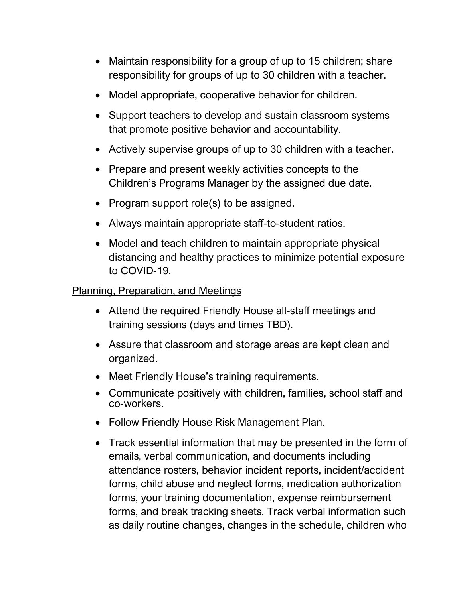- Maintain responsibility for a group of up to 15 children; share responsibility for groups of up to 30 children with a teacher.
- Model appropriate, cooperative behavior for children.
- Support teachers to develop and sustain classroom systems that promote positive behavior and accountability.
- Actively supervise groups of up to 30 children with a teacher.
- Prepare and present weekly activities concepts to the Children's Programs Manager by the assigned due date.
- Program support role(s) to be assigned.
- Always maintain appropriate staff-to-student ratios.
- Model and teach children to maintain appropriate physical distancing and healthy practices to minimize potential exposure to COVID-19.

#### Planning, Preparation, and Meetings

- Attend the required Friendly House all-staff meetings and training sessions (days and times TBD).
- Assure that classroom and storage areas are kept clean and organized.
- Meet Friendly House's training requirements.
- Communicate positively with children, families, school staff and co-workers.
- Follow Friendly House Risk Management Plan.
- Track essential information that may be presented in the form of emails, verbal communication, and documents including attendance rosters, behavior incident reports, incident/accident forms, child abuse and neglect forms, medication authorization forms, your training documentation, expense reimbursement forms, and break tracking sheets. Track verbal information such as daily routine changes, changes in the schedule, children who